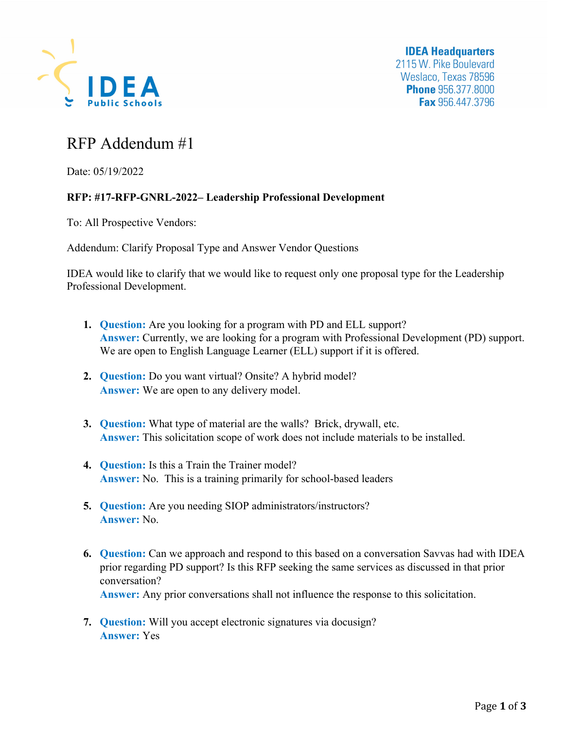

## RFP Addendum #1

Date: 05/19/2022

## **RFP: #17-RFP-GNRL-2022– Leadership Professional Development**

To: All Prospective Vendors:

Addendum: Clarify Proposal Type and Answer Vendor Questions

IDEA would like to clarify that we would like to request only one proposal type for the Leadership Professional Development.

- **1. Question:** Are you looking for a program with PD and ELL support? **Answer:** Currently, we are looking for a program with Professional Development (PD) support. We are open to English Language Learner (ELL) support if it is offered.
- **2. Question:** Do you want virtual? Onsite? A hybrid model? **Answer:** We are open to any delivery model.
- **3. Question:** What type of material are the walls? Brick, drywall, etc. **Answer:** This solicitation scope of work does not include materials to be installed.
- **4. Question:** Is this a Train the Trainer model? **Answer:** No. This is a training primarily for school-based leaders
- **5. Question:** Are you needing SIOP administrators/instructors? **Answer:** No.
- **6. Question:** Can we approach and respond to this based on a conversation Savvas had with IDEA prior regarding PD support? Is this RFP seeking the same services as discussed in that prior conversation? **Answer:** Any prior conversations shall not influence the response to this solicitation.
- **7. Question:** Will you accept electronic signatures via docusign? **Answer:** Yes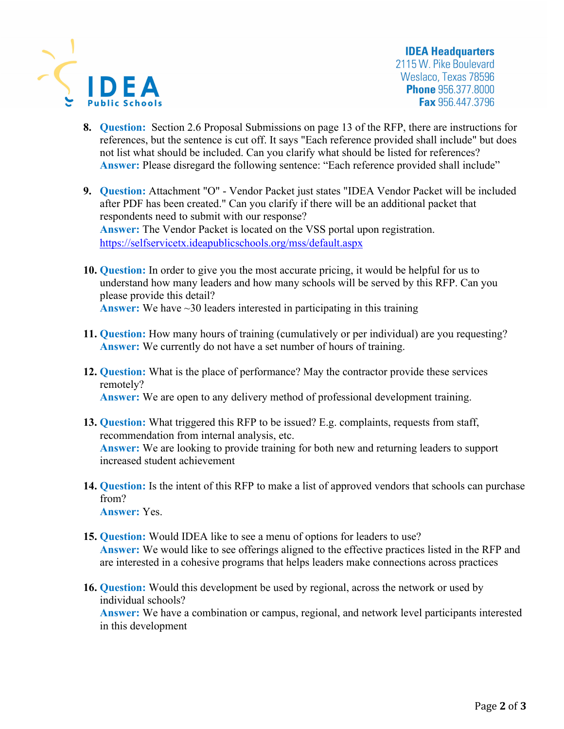

**IDEA Headquarters** 2115 W. Pike Boulevard Weslaco, Texas 78596 **Phone** 956.377.8000 **Fax** 956.447.3796

- **8. Question:** Section 2.6 Proposal Submissions on page 13 of the RFP, there are instructions for references, but the sentence is cut off. It says "Each reference provided shall include" but does not list what should be included. Can you clarify what should be listed for references? **Answer: Please disregard the following sentence: "Each reference provided shall include"**
- **9. Question:** Attachment "O" Vendor Packet just states "IDEA Vendor Packet will be included after PDF has been created." Can you clarify if there will be an additional packet that respondents need to submit with our response? **Answer:** The Vendor Packet is located on the VSS portal upon registration. https://selfservicetx.ideapublicschools.org/mss/default.aspx
- **10. Question:** In order to give you the most accurate pricing, it would be helpful for us to understand how many leaders and how many schools will be served by this RFP. Can you please provide this detail? **Answer:** We have ~30 leaders interested in participating in this training
- **11. Question:** How many hours of training (cumulatively or per individual) are you requesting? **Answer:** We currently do not have a set number of hours of training.
- **12. Question:** What is the place of performance? May the contractor provide these services remotely?  **Answer:** We are open to any delivery method of professional development training.
- **13. Question:** What triggered this RFP to be issued? E.g. complaints, requests from staff, recommendation from internal analysis, etc. **Answer:** We are looking to provide training for both new and returning leaders to support increased student achievement
- **14. Question:** Is the intent of this RFP to make a list of approved vendors that schools can purchase from? **Answer:** Yes.
- **15. Question:** Would IDEA like to see a menu of options for leaders to use? **Answer:** We would like to see offerings aligned to the effective practices listed in the RFP and are interested in a cohesive programs that helps leaders make connections across practices
- **16. Question:** Would this development be used by regional, across the network or used by individual schools? **Answer:** We have a combination or campus, regional, and network level participants interested in this development